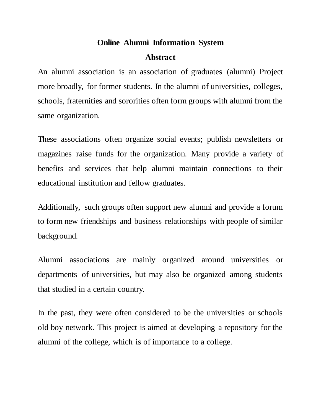## **Online Alumni Information System Abstract**

An alumni association is an association of graduates (alumni) Project more broadly, for former students. In the alumni of universities, colleges, schools, fraternities and sororities often form groups with alumni from the same organization.

These associations often organize social events; publish newsletters or magazines raise funds for the organization. Many provide a variety of benefits and services that help alumni maintain connections to their educational institution and fellow graduates.

Additionally, such groups often support new alumni and provide a forum to form new friendships and business relationships with people of similar background.

Alumni associations are mainly organized around universities or departments of universities, but may also be organized among students that studied in a certain country.

In the past, they were often considered to be the universities or schools old boy network. This project is aimed at developing a repository for the alumni of the college, which is of importance to a college.